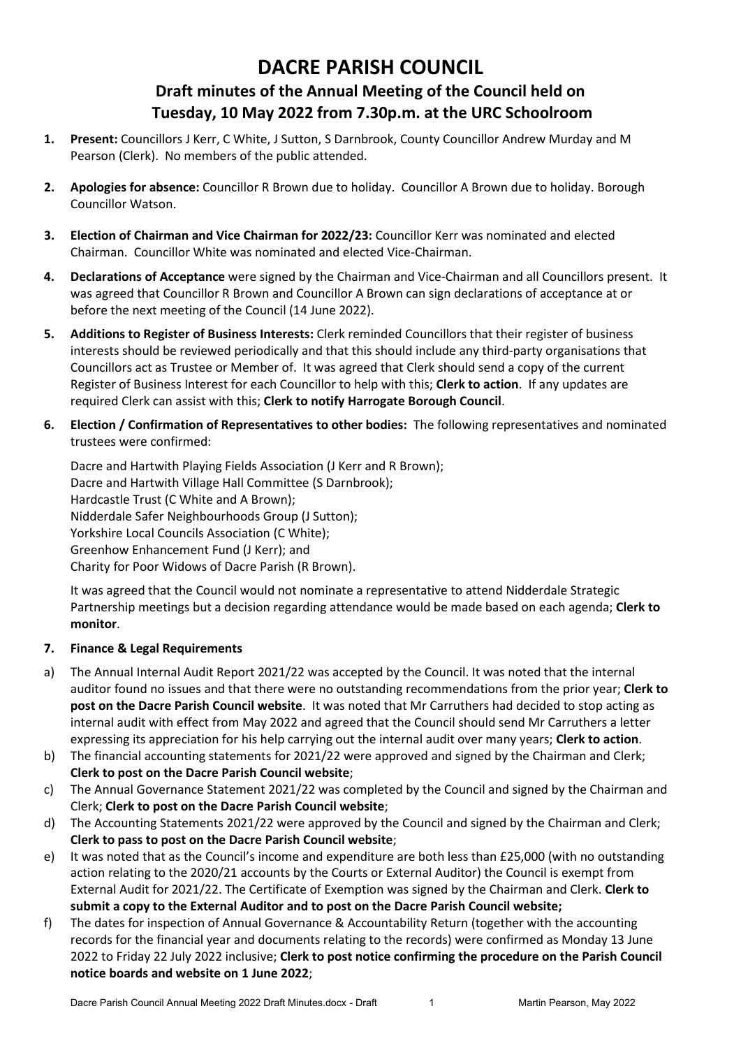## **DACRE PARISH COUNCIL Draft minutes of the Annual Meeting of the Council held on Tuesday, 10 May 2022 from 7.30p.m. at the URC Schoolroom**

- **1. Present:** Councillors J Kerr, C White, J Sutton, S Darnbrook, County Councillor Andrew Murday and M Pearson (Clerk). No members of the public attended.
- **2. Apologies for absence:** Councillor R Brown due to holiday. Councillor A Brown due to holiday. Borough Councillor Watson.
- **3. Election of Chairman and Vice Chairman for 2022/23:** Councillor Kerr was nominated and elected Chairman. Councillor White was nominated and elected Vice-Chairman.
- **4. Declarations of Acceptance** were signed by the Chairman and Vice-Chairman and all Councillors present. It was agreed that Councillor R Brown and Councillor A Brown can sign declarations of acceptance at or before the next meeting of the Council (14 June 2022).
- **5. Additions to Register of Business Interests:** Clerk reminded Councillors that their register of business interests should be reviewed periodically and that this should include any third-party organisations that Councillors act as Trustee or Member of. It was agreed that Clerk should send a copy of the current Register of Business Interest for each Councillor to help with this; **Clerk to action**. If any updates are required Clerk can assist with this; **Clerk to notify Harrogate Borough Council**.
- **6. Election / Confirmation of Representatives to other bodies:** The following representatives and nominated trustees were confirmed:

Dacre and Hartwith Playing Fields Association (J Kerr and R Brown); Dacre and Hartwith Village Hall Committee (S Darnbrook); Hardcastle Trust (C White and A Brown); Nidderdale Safer Neighbourhoods Group (J Sutton); Yorkshire Local Councils Association (C White); Greenhow Enhancement Fund (J Kerr); and Charity for Poor Widows of Dacre Parish (R Brown).

It was agreed that the Council would not nominate a representative to attend Nidderdale Strategic Partnership meetings but a decision regarding attendance would be made based on each agenda; **Clerk to monitor**.

## **7. Finance & Legal Requirements**

- a) The Annual Internal Audit Report 2021/22 was accepted by the Council. It was noted that the internal auditor found no issues and that there were no outstanding recommendations from the prior year; **Clerk to post on the Dacre Parish Council website**. It was noted that Mr Carruthers had decided to stop acting as internal audit with effect from May 2022 and agreed that the Council should send Mr Carruthers a letter expressing its appreciation for his help carrying out the internal audit over many years; **Clerk to action**.
- b) The financial accounting statements for 2021/22 were approved and signed by the Chairman and Clerk; **Clerk to post on the Dacre Parish Council website**;
- c) The Annual Governance Statement 2021/22 was completed by the Council and signed by the Chairman and Clerk; **Clerk to post on the Dacre Parish Council website**;
- d) The Accounting Statements 2021/22 were approved by the Council and signed by the Chairman and Clerk; **Clerk to pass to post on the Dacre Parish Council website**;
- e) It was noted that as the Council's income and expenditure are both less than £25,000 (with no outstanding action relating to the 2020/21 accounts by the Courts or External Auditor) the Council is exempt from External Audit for 2021/22. The Certificate of Exemption was signed by the Chairman and Clerk. **Clerk to submit a copy to the External Auditor and to post on the Dacre Parish Council website;**
- f) The dates for inspection of Annual Governance & Accountability Return (together with the accounting records for the financial year and documents relating to the records) were confirmed as Monday 13 June 2022 to Friday 22 July 2022 inclusive; **Clerk to post notice confirming the procedure on the Parish Council notice boards and website on 1 June 2022**;